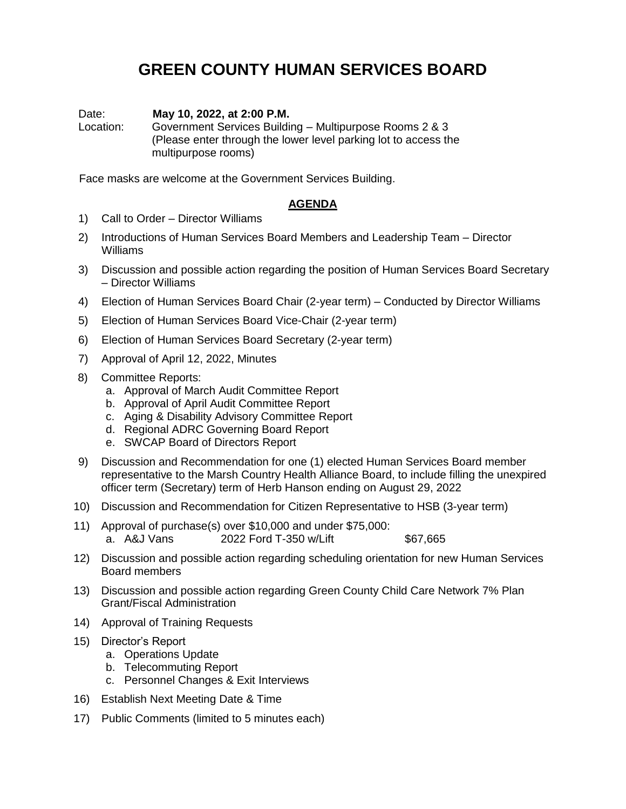## **GREEN COUNTY HUMAN SERVICES BOARD**

Date: **May 10, 2022, at 2:00 P.M.**

Location: Government Services Building – Multipurpose Rooms 2 & 3 (Please enter through the lower level parking lot to access the multipurpose rooms)

Face masks are welcome at the Government Services Building.

## **AGENDA**

- 1) Call to Order Director Williams
- 2) Introductions of Human Services Board Members and Leadership Team Director Williams
- 3) Discussion and possible action regarding the position of Human Services Board Secretary – Director Williams
- 4) Election of Human Services Board Chair (2-year term) Conducted by Director Williams
- 5) Election of Human Services Board Vice-Chair (2-year term)
- 6) Election of Human Services Board Secretary (2-year term)
- 7) Approval of April 12, 2022, Minutes
- 8) Committee Reports:
	- a. Approval of March Audit Committee Report
	- b. Approval of April Audit Committee Report
	- c. Aging & Disability Advisory Committee Report
	- d. Regional ADRC Governing Board Report
	- e. SWCAP Board of Directors Report
- 9) Discussion and Recommendation for one (1) elected Human Services Board member representative to the Marsh Country Health Alliance Board, to include filling the unexpired officer term (Secretary) term of Herb Hanson ending on August 29, 2022
- 10) Discussion and Recommendation for Citizen Representative to HSB (3-year term)
- 11) Approval of purchase(s) over \$10,000 and under \$75,000: a. A&J Vans 2022 Ford T-350 w/Lift \$67,665
- 12) Discussion and possible action regarding scheduling orientation for new Human Services Board members
- 13) Discussion and possible action regarding Green County Child Care Network 7% Plan Grant/Fiscal Administration
- 14) Approval of Training Requests
- 15) Director's Report
	- a. Operations Update
	- b. Telecommuting Report
	- c. Personnel Changes & Exit Interviews
- 16) Establish Next Meeting Date & Time
- 17) Public Comments (limited to 5 minutes each)